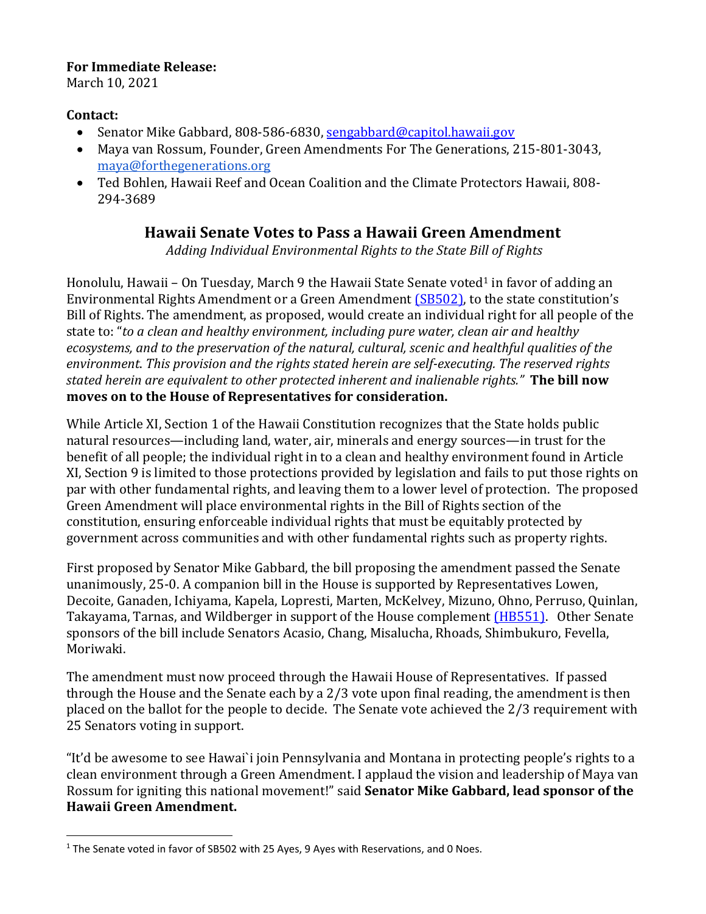## **For Immediate Release:**

March 10, 2021

## **Contact:**

 $\overline{a}$ 

- Senator Mike Gabbard, 808-586-6830, [sengabbard@capitol.hawaii.gov](mailto:sengabbard@capitol.hawaii.gov)
- Maya van Rossum, Founder, Green Amendments For The Generations, 215-801-3043, [maya@forthegenerations.org](mailto:maya@forthegenerations.org)
- Ted Bohlen, Hawaii Reef and Ocean Coalition and the Climate Protectors Hawaii, 808- 294-3689

## **Hawaii Senate Votes to Pass a Hawaii Green Amendment**

*Adding Individual Environmental Rights to the State Bill of Rights*

Honolulu, Hawaii – On Tuesday, March 9 the Hawaii State Senate voted<sup>1</sup> in favor of adding an Environmental Rights Amendment or a Green Amendment [\(SB502\),](https://legiscan.com/HI/text/SB502/id/2316438/Hawaii-2021-SB502-Amended.html) to the state constitution's Bill of Rights. The amendment, as proposed, would create an individual right for all people of the state to: "*to a clean and healthy environment, including pure water, clean air and healthy ecosystems, and to the preservation of the natural, cultural, scenic and healthful qualities of the environment*. *This provision and the rights stated herein are self-executing. The reserved rights stated herein are equivalent to other protected inherent and inalienable rights."* **The bill now moves on to the House of Representatives for consideration.**

While Article XI, Section 1 of the Hawaii Constitution recognizes that the State holds public natural resources—including land, water, air, minerals and energy sources—in trust for the benefit of all people; the individual right in to a clean and healthy environment found in Article XI, Section 9 is limited to those protections provided by legislation and fails to put those rights on par with other fundamental rights, and leaving them to a lower level of protection. The proposed Green Amendment will place environmental rights in the Bill of Rights section of the constitution, ensuring enforceable individual rights that must be equitably protected by government across communities and with other fundamental rights such as property rights.

First proposed by Senator Mike Gabbard, the bill proposing the amendment passed the Senate unanimously, 25-0. A companion bill in the House is supported by Representatives Lowen, Decoite, Ganaden, Ichiyama, Kapela, Lopresti, Marten, McKelvey, Mizuno, Ohno, Perruso, Quinlan, Takayama, Tarnas, and Wildberger in support of the House complement [\(HB551\).](https://legiscan.com/HI/text/HB551/id/2292179/Hawaii-2021-�B551-Amended.html) Other Senate sponsors of the bill include Senators Acasio, Chang, Misalucha, Rhoads, Shimbukuro, Fevella, Moriwaki.

The amendment must now proceed through the Hawaii House of Representatives. If passed through the House and the Senate each by a 2/3 vote upon final reading, the amendment is then placed on the ballot for the people to decide. The Senate vote achieved the 2/3 requirement with 25 Senators voting in support.

"It'd be awesome to see Hawai`i join Pennsylvania and Montana in protecting people's rights to a clean environment through a Green Amendment. I applaud the vision and leadership of Maya van Rossum for igniting this national movement!" said **Senator Mike Gabbard, lead sponsor of the Hawaii Green Amendment.**

<sup>&</sup>lt;sup>1</sup> The Senate voted in favor of SB502 with 25 Ayes, 9 Ayes with Reservations, and 0 Noes.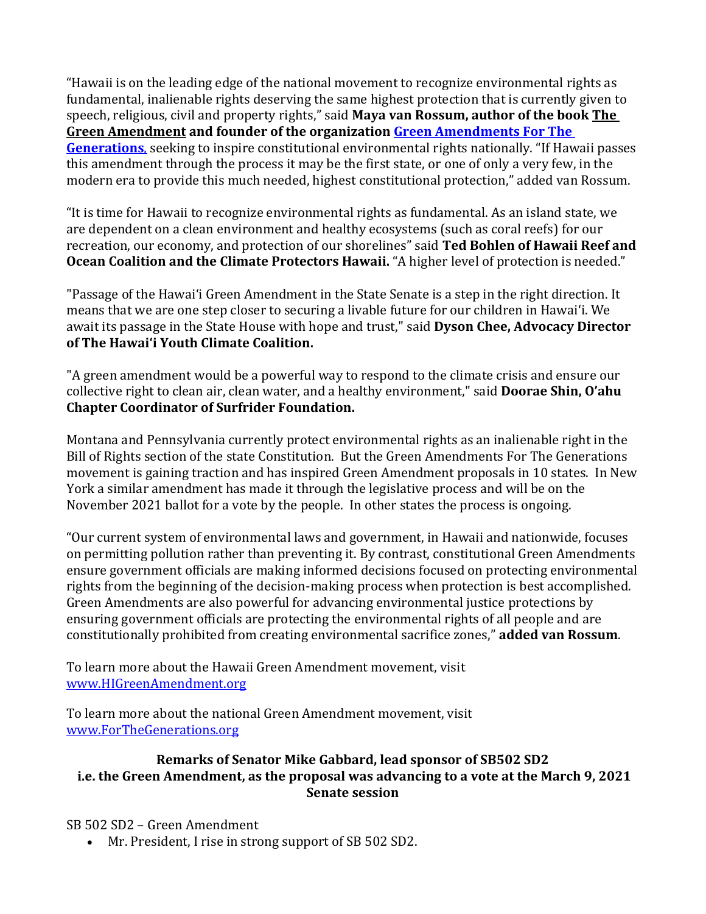"Hawaii is on the leading edge of the national movement to recognize environmental rights as fundamental, inalienable rights deserving the same highest protection that is currently given to speech, religious, civil and property rights," said **Maya van Rossum, author of the book The Green Amendment and founder of the organization [Green Amendments For The](http://www.forthegenerations.org/)  [Generations](http://www.forthegenerations.org/)**, seeking to inspire constitutional environmental rights nationally. "If Hawaii passes this amendment through the process it may be the first state, or one of only a very few, in the modern era to provide this much needed, highest constitutional protection," added van Rossum.

"It is time for Hawaii to recognize environmental rights as fundamental. As an island state, we are dependent on a clean environment and healthy ecosystems (such as coral reefs) for our recreation, our economy, and protection of our shorelines" said **Ted Bohlen of Hawaii Reef and Ocean Coalition and the Climate Protectors Hawaii.** "A higher level of protection is needed."

"Passage of the Hawaiʻi Green Amendment in the State Senate is a step in the right direction. It means that we are one step closer to securing a livable future for our children in Hawaiʻi. We await its passage in the State House with hope and trust," said **Dyson Chee, Advocacy Director of The Hawai'i Youth Climate Coalition.**

"A green amendment would be a powerful way to respond to the climate crisis and ensure our collective right to clean air, clean water, and a healthy environment," said **Doorae Shin, O'ahu Chapter Coordinator of Surfrider Foundation.**

Montana and Pennsylvania currently protect environmental rights as an inalienable right in the Bill of Rights section of the state Constitution. But the Green Amendments For The Generations movement is gaining traction and has inspired Green Amendment proposals in 10 states. In New York a similar amendment has made it through the legislative process and will be on the November 2021 ballot for a vote by the people. In other states the process is ongoing.

"Our current system of environmental laws and government, in Hawaii and nationwide, focuses on permitting pollution rather than preventing it. By contrast, constitutional Green Amendments ensure government officials are making informed decisions focused on protecting environmental rights from the beginning of the decision-making process when protection is best accomplished. Green Amendments are also powerful for advancing environmental justice protections by ensuring government officials are protecting the environmental rights of all people and are constitutionally prohibited from creating environmental sacrifice zones," **added van Rossum**.

To learn more about the Hawaii Green Amendment movement, visit [www.HIGreenAmendment.org](http://www.higreenamendment.org/)

To learn more about the national Green Amendment movement, visit [www.ForTheGenerations.org](http://www.forthegenerations.org/)

## **Remarks of Senator Mike Gabbard, lead sponsor of SB502 SD2 i.e. the Green Amendment, as the proposal was advancing to a vote at the March 9, 2021 Senate session**

SB 502 SD2 – Green Amendment

• Mr. President, I rise in strong support of SB 502 SD2.